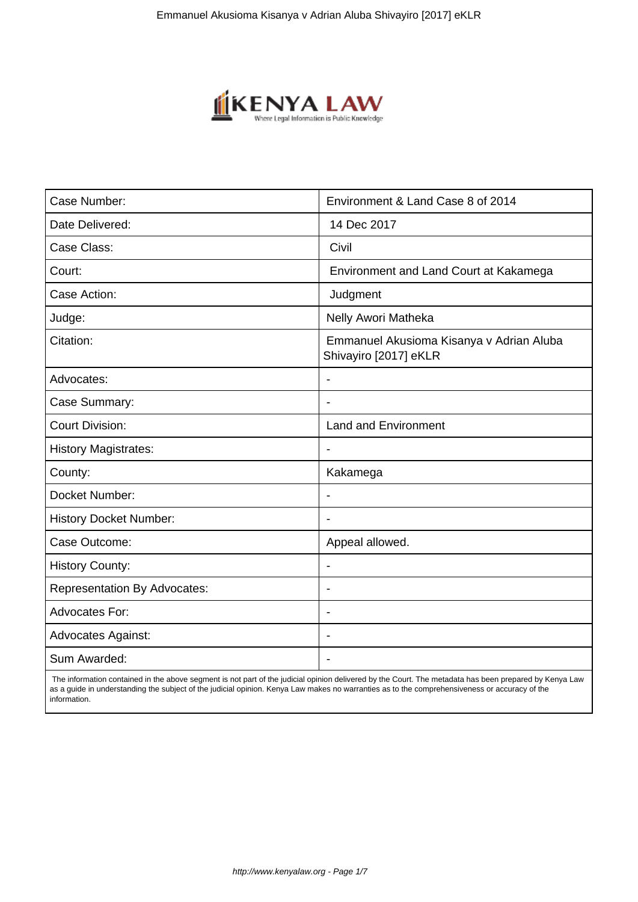

| Case Number:                        | Environment & Land Case 8 of 2014                                 |
|-------------------------------------|-------------------------------------------------------------------|
| Date Delivered:                     | 14 Dec 2017                                                       |
| Case Class:                         | Civil                                                             |
| Court:                              | Environment and Land Court at Kakamega                            |
| Case Action:                        | Judgment                                                          |
| Judge:                              | Nelly Awori Matheka                                               |
| Citation:                           | Emmanuel Akusioma Kisanya v Adrian Aluba<br>Shivayiro [2017] eKLR |
| Advocates:                          |                                                                   |
| Case Summary:                       |                                                                   |
| <b>Court Division:</b>              | <b>Land and Environment</b>                                       |
| <b>History Magistrates:</b>         | $\blacksquare$                                                    |
| County:                             | Kakamega                                                          |
| Docket Number:                      |                                                                   |
| <b>History Docket Number:</b>       |                                                                   |
| Case Outcome:                       | Appeal allowed.                                                   |
| <b>History County:</b>              | $\blacksquare$                                                    |
| <b>Representation By Advocates:</b> |                                                                   |
| Advocates For:                      | $\overline{\phantom{a}}$                                          |
| <b>Advocates Against:</b>           |                                                                   |
| Sum Awarded:                        |                                                                   |

 The information contained in the above segment is not part of the judicial opinion delivered by the Court. The metadata has been prepared by Kenya Law as a guide in understanding the subject of the judicial opinion. Kenya Law makes no warranties as to the comprehensiveness or accuracy of the information.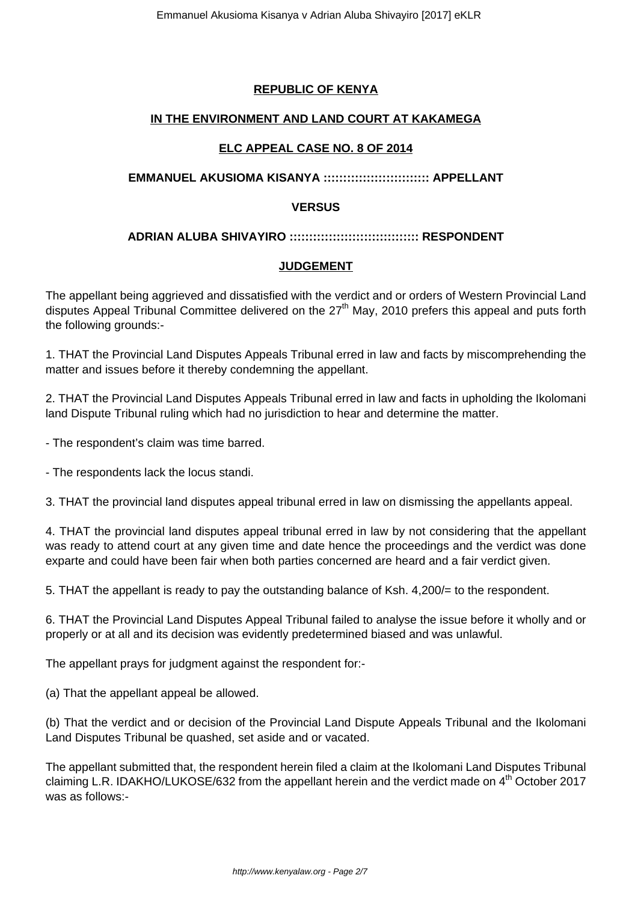## **REPUBLIC OF KENYA**

#### **IN THE ENVIRONMENT AND LAND COURT AT KAKAMEGA**

### **ELC APPEAL CASE NO. 8 OF 2014**

#### **EMMANUEL AKUSIOMA KISANYA ::::::::::::::::::::::::::: APPELLANT**

#### **VERSUS**

#### **ADRIAN ALUBA SHIVAYIRO ::::::::::::::::::::::::::::::::: RESPONDENT**

#### **JUDGEMENT**

The appellant being aggrieved and dissatisfied with the verdict and or orders of Western Provincial Land disputes Appeal Tribunal Committee delivered on the  $27<sup>th</sup>$  May, 2010 prefers this appeal and puts forth the following grounds:-

1. THAT the Provincial Land Disputes Appeals Tribunal erred in law and facts by miscomprehending the matter and issues before it thereby condemning the appellant.

2. THAT the Provincial Land Disputes Appeals Tribunal erred in law and facts in upholding the Ikolomani land Dispute Tribunal ruling which had no jurisdiction to hear and determine the matter.

- The respondent's claim was time barred.

- The respondents lack the locus standi.

3. THAT the provincial land disputes appeal tribunal erred in law on dismissing the appellants appeal.

4. THAT the provincial land disputes appeal tribunal erred in law by not considering that the appellant was ready to attend court at any given time and date hence the proceedings and the verdict was done exparte and could have been fair when both parties concerned are heard and a fair verdict given.

5. THAT the appellant is ready to pay the outstanding balance of Ksh. 4,200/= to the respondent.

6. THAT the Provincial Land Disputes Appeal Tribunal failed to analyse the issue before it wholly and or properly or at all and its decision was evidently predetermined biased and was unlawful.

The appellant prays for judgment against the respondent for:-

(a) That the appellant appeal be allowed.

(b) That the verdict and or decision of the Provincial Land Dispute Appeals Tribunal and the Ikolomani Land Disputes Tribunal be quashed, set aside and or vacated.

The appellant submitted that, the respondent herein filed a claim at the Ikolomani Land Disputes Tribunal claiming L.R. IDAKHO/LUKOSE/632 from the appellant herein and the verdict made on 4<sup>th</sup> October 2017 was as follows:-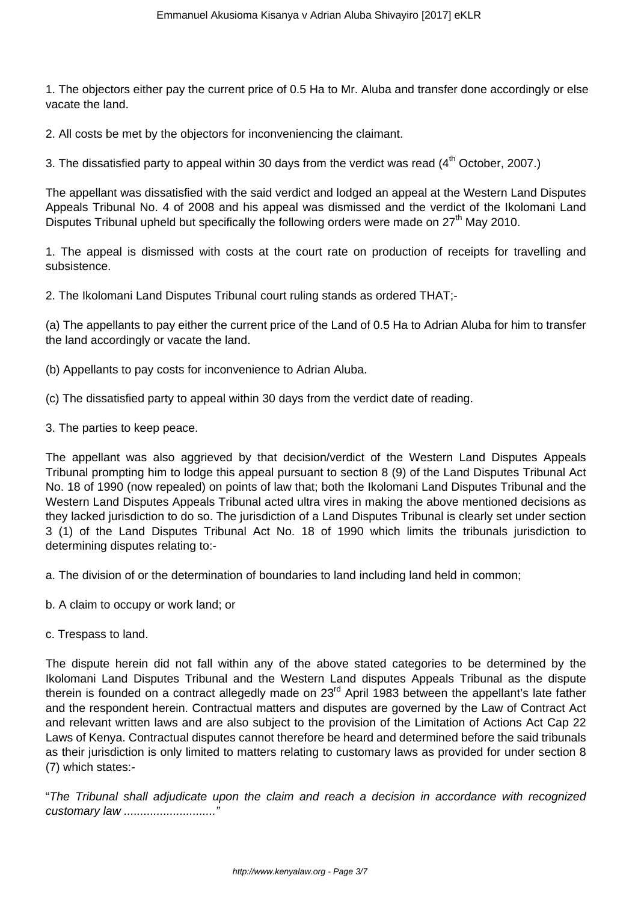1. The objectors either pay the current price of 0.5 Ha to Mr. Aluba and transfer done accordingly or else vacate the land.

2. All costs be met by the objectors for inconveniencing the claimant.

3. The dissatisfied party to appeal within 30 days from the verdict was read  $(4<sup>th</sup> October, 2007.)$ 

The appellant was dissatisfied with the said verdict and lodged an appeal at the Western Land Disputes Appeals Tribunal No. 4 of 2008 and his appeal was dismissed and the verdict of the Ikolomani Land Disputes Tribunal upheld but specifically the following orders were made on 27<sup>th</sup> May 2010.

1. The appeal is dismissed with costs at the court rate on production of receipts for travelling and subsistence.

2. The Ikolomani Land Disputes Tribunal court ruling stands as ordered THAT;-

(a) The appellants to pay either the current price of the Land of 0.5 Ha to Adrian Aluba for him to transfer the land accordingly or vacate the land.

- (b) Appellants to pay costs for inconvenience to Adrian Aluba.
- (c) The dissatisfied party to appeal within 30 days from the verdict date of reading.
- 3. The parties to keep peace.

The appellant was also aggrieved by that decision/verdict of the Western Land Disputes Appeals Tribunal prompting him to lodge this appeal pursuant to section 8 (9) of the Land Disputes Tribunal Act No. 18 of 1990 (now repealed) on points of law that; both the Ikolomani Land Disputes Tribunal and the Western Land Disputes Appeals Tribunal acted ultra vires in making the above mentioned decisions as they lacked jurisdiction to do so. The jurisdiction of a Land Disputes Tribunal is clearly set under section 3 (1) of the Land Disputes Tribunal Act No. 18 of 1990 which limits the tribunals jurisdiction to determining disputes relating to:-

a. The division of or the determination of boundaries to land including land held in common;

- b. A claim to occupy or work land; or
- c. Trespass to land.

The dispute herein did not fall within any of the above stated categories to be determined by the Ikolomani Land Disputes Tribunal and the Western Land disputes Appeals Tribunal as the dispute therein is founded on a contract allegedly made on 23<sup>rd</sup> April 1983 between the appellant's late father and the respondent herein. Contractual matters and disputes are governed by the Law of Contract Act and relevant written laws and are also subject to the provision of the Limitation of Actions Act Cap 22 Laws of Kenya. Contractual disputes cannot therefore be heard and determined before the said tribunals as their jurisdiction is only limited to matters relating to customary laws as provided for under section 8 (7) which states:-

"The Tribunal shall adjudicate upon the claim and reach a decision in accordance with recognized customary law ............................"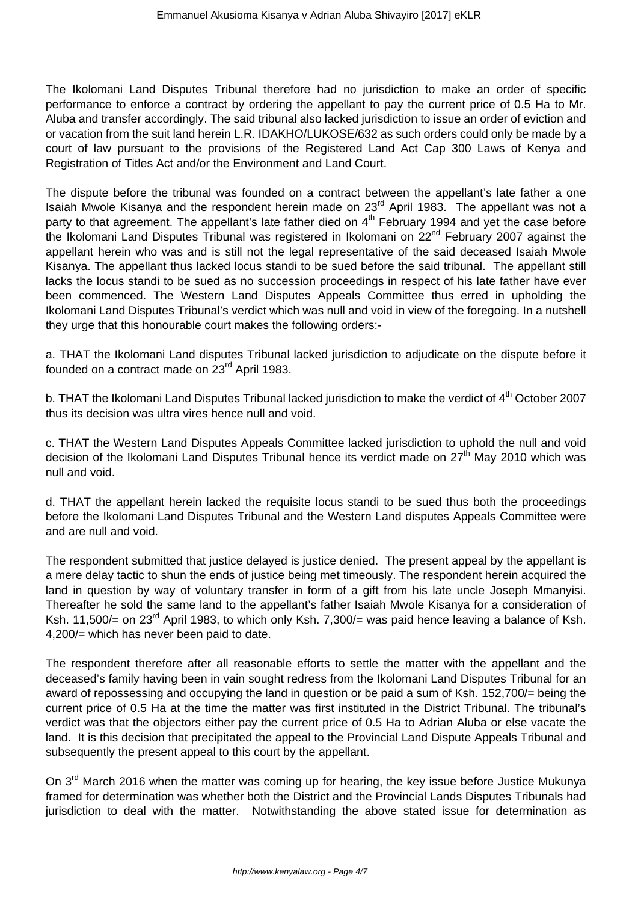The Ikolomani Land Disputes Tribunal therefore had no jurisdiction to make an order of specific performance to enforce a contract by ordering the appellant to pay the current price of 0.5 Ha to Mr. Aluba and transfer accordingly. The said tribunal also lacked jurisdiction to issue an order of eviction and or vacation from the suit land herein L.R. IDAKHO/LUKOSE/632 as such orders could only be made by a court of law pursuant to the provisions of the Registered Land Act Cap 300 Laws of Kenya and Registration of Titles Act and/or the Environment and Land Court.

The dispute before the tribunal was founded on a contract between the appellant's late father a one Isaiah Mwole Kisanya and the respondent herein made on 23rd April 1983. The appellant was not a party to that agreement. The appellant's late father died on  $4<sup>th</sup>$  February 1994 and yet the case before the Ikolomani Land Disputes Tribunal was registered in Ikolomani on 22<sup>nd</sup> February 2007 against the appellant herein who was and is still not the legal representative of the said deceased Isaiah Mwole Kisanya. The appellant thus lacked locus standi to be sued before the said tribunal. The appellant still lacks the locus standi to be sued as no succession proceedings in respect of his late father have ever been commenced. The Western Land Disputes Appeals Committee thus erred in upholding the Ikolomani Land Disputes Tribunal's verdict which was null and void in view of the foregoing. In a nutshell they urge that this honourable court makes the following orders:-

a. THAT the Ikolomani Land disputes Tribunal lacked jurisdiction to adjudicate on the dispute before it founded on a contract made on 23<sup>rd</sup> April 1983.

b. THAT the Ikolomani Land Disputes Tribunal lacked jurisdiction to make the verdict of 4<sup>th</sup> October 2007 thus its decision was ultra vires hence null and void.

c. THAT the Western Land Disputes Appeals Committee lacked jurisdiction to uphold the null and void decision of the Ikolomani Land Disputes Tribunal hence its verdict made on  $27<sup>th</sup>$  May 2010 which was null and void.

d. THAT the appellant herein lacked the requisite locus standi to be sued thus both the proceedings before the Ikolomani Land Disputes Tribunal and the Western Land disputes Appeals Committee were and are null and void.

The respondent submitted that justice delayed is justice denied. The present appeal by the appellant is a mere delay tactic to shun the ends of justice being met timeously. The respondent herein acquired the land in question by way of voluntary transfer in form of a gift from his late uncle Joseph Mmanyisi. Thereafter he sold the same land to the appellant's father Isaiah Mwole Kisanya for a consideration of Ksh. 11,500/= on 23<sup>rd</sup> April 1983, to which only Ksh. 7,300/= was paid hence leaving a balance of Ksh. 4,200/= which has never been paid to date.

The respondent therefore after all reasonable efforts to settle the matter with the appellant and the deceased's family having been in vain sought redress from the Ikolomani Land Disputes Tribunal for an award of repossessing and occupying the land in question or be paid a sum of Ksh. 152,700/= being the current price of 0.5 Ha at the time the matter was first instituted in the District Tribunal. The tribunal's verdict was that the objectors either pay the current price of 0.5 Ha to Adrian Aluba or else vacate the land. It is this decision that precipitated the appeal to the Provincial Land Dispute Appeals Tribunal and subsequently the present appeal to this court by the appellant.

On 3<sup>rd</sup> March 2016 when the matter was coming up for hearing, the key issue before Justice Mukunya framed for determination was whether both the District and the Provincial Lands Disputes Tribunals had jurisdiction to deal with the matter. Notwithstanding the above stated issue for determination as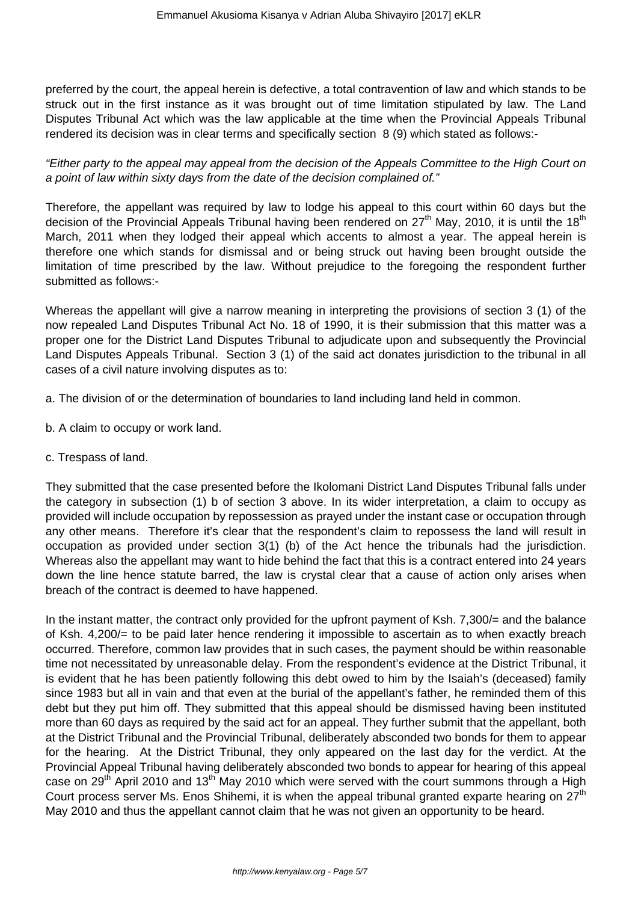preferred by the court, the appeal herein is defective, a total contravention of law and which stands to be struck out in the first instance as it was brought out of time limitation stipulated by law. The Land Disputes Tribunal Act which was the law applicable at the time when the Provincial Appeals Tribunal rendered its decision was in clear terms and specifically section 8 (9) which stated as follows:-

"Either party to the appeal may appeal from the decision of the Appeals Committee to the High Court on a point of law within sixty days from the date of the decision complained of."

Therefore, the appellant was required by law to lodge his appeal to this court within 60 days but the decision of the Provincial Appeals Tribunal having been rendered on  $27<sup>th</sup>$  May, 2010, it is until the 18<sup>th</sup> March, 2011 when they lodged their appeal which accents to almost a year. The appeal herein is therefore one which stands for dismissal and or being struck out having been brought outside the limitation of time prescribed by the law. Without prejudice to the foregoing the respondent further submitted as follows:-

Whereas the appellant will give a narrow meaning in interpreting the provisions of section 3 (1) of the now repealed Land Disputes Tribunal Act No. 18 of 1990, it is their submission that this matter was a proper one for the District Land Disputes Tribunal to adjudicate upon and subsequently the Provincial Land Disputes Appeals Tribunal. Section 3 (1) of the said act donates jurisdiction to the tribunal in all cases of a civil nature involving disputes as to:

a. The division of or the determination of boundaries to land including land held in common.

- b. A claim to occupy or work land.
- c. Trespass of land.

They submitted that the case presented before the Ikolomani District Land Disputes Tribunal falls under the category in subsection (1) b of section 3 above. In its wider interpretation, a claim to occupy as provided will include occupation by repossession as prayed under the instant case or occupation through any other means. Therefore it's clear that the respondent's claim to repossess the land will result in occupation as provided under section 3(1) (b) of the Act hence the tribunals had the jurisdiction. Whereas also the appellant may want to hide behind the fact that this is a contract entered into 24 years down the line hence statute barred, the law is crystal clear that a cause of action only arises when breach of the contract is deemed to have happened.

In the instant matter, the contract only provided for the upfront payment of Ksh. 7,300/= and the balance of Ksh. 4,200/= to be paid later hence rendering it impossible to ascertain as to when exactly breach occurred. Therefore, common law provides that in such cases, the payment should be within reasonable time not necessitated by unreasonable delay. From the respondent's evidence at the District Tribunal, it is evident that he has been patiently following this debt owed to him by the Isaiah's (deceased) family since 1983 but all in vain and that even at the burial of the appellant's father, he reminded them of this debt but they put him off. They submitted that this appeal should be dismissed having been instituted more than 60 days as required by the said act for an appeal. They further submit that the appellant, both at the District Tribunal and the Provincial Tribunal, deliberately absconded two bonds for them to appear for the hearing. At the District Tribunal, they only appeared on the last day for the verdict. At the Provincial Appeal Tribunal having deliberately absconded two bonds to appear for hearing of this appeal case on 29<sup>th</sup> April 2010 and 13<sup>th</sup> May 2010 which were served with the court summons through a High Court process server Ms. Enos Shihemi, it is when the appeal tribunal granted exparte hearing on  $27<sup>th</sup>$ May 2010 and thus the appellant cannot claim that he was not given an opportunity to be heard.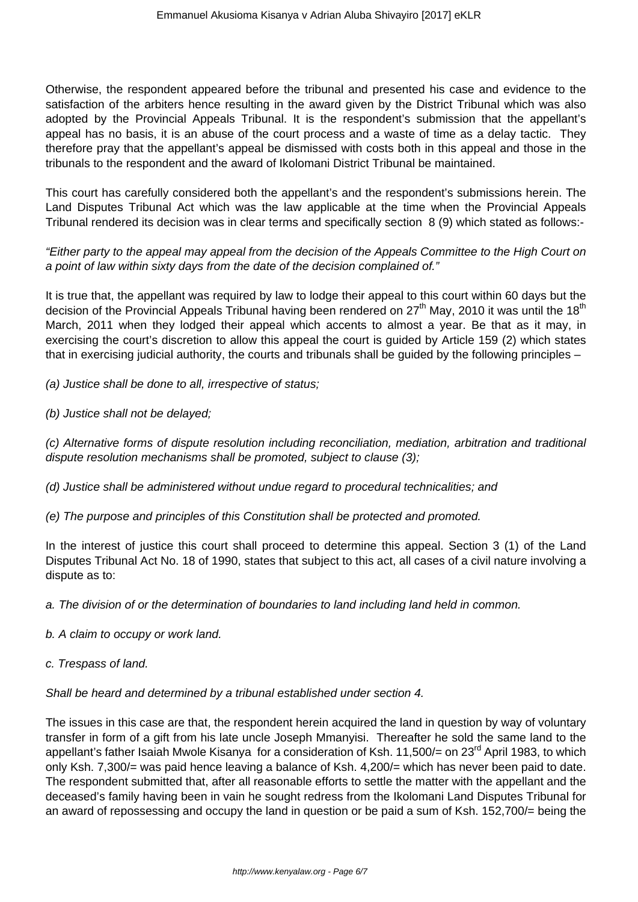Otherwise, the respondent appeared before the tribunal and presented his case and evidence to the satisfaction of the arbiters hence resulting in the award given by the District Tribunal which was also adopted by the Provincial Appeals Tribunal. It is the respondent's submission that the appellant's appeal has no basis, it is an abuse of the court process and a waste of time as a delay tactic. They therefore pray that the appellant's appeal be dismissed with costs both in this appeal and those in the tribunals to the respondent and the award of Ikolomani District Tribunal be maintained.

This court has carefully considered both the appellant's and the respondent's submissions herein. The Land Disputes Tribunal Act which was the law applicable at the time when the Provincial Appeals Tribunal rendered its decision was in clear terms and specifically section 8 (9) which stated as follows:-

"Either party to the appeal may appeal from the decision of the Appeals Committee to the High Court on a point of law within sixty days from the date of the decision complained of."

It is true that, the appellant was required by law to lodge their appeal to this court within 60 days but the decision of the Provincial Appeals Tribunal having been rendered on  $27<sup>th</sup>$  May, 2010 it was until the 18<sup>th</sup> March, 2011 when they lodged their appeal which accents to almost a year. Be that as it may, in exercising the court's discretion to allow this appeal the court is guided by Article 159 (2) which states that in exercising judicial authority, the courts and tribunals shall be guided by the following principles –

(a) Justice shall be done to all, irrespective of status;

(b) Justice shall not be delayed;

(c) Alternative forms of dispute resolution including reconciliation, mediation, arbitration and traditional dispute resolution mechanisms shall be promoted, subject to clause (3);

(d) Justice shall be administered without undue regard to procedural technicalities; and

(e) The purpose and principles of this Constitution shall be protected and promoted.

In the interest of justice this court shall proceed to determine this appeal. Section 3 (1) of the Land Disputes Tribunal Act No. 18 of 1990, states that subject to this act, all cases of a civil nature involving a dispute as to:

a. The division of or the determination of boundaries to land including land held in common.

- b. A claim to occupy or work land.
- c. Trespass of land.

Shall be heard and determined by a tribunal established under section 4.

The issues in this case are that, the respondent herein acquired the land in question by way of voluntary transfer in form of a gift from his late uncle Joseph Mmanyisi. Thereafter he sold the same land to the appellant's father Isaiah Mwole Kisanya for a consideration of Ksh. 11,500/= on 23<sup>rd</sup> April 1983, to which only Ksh. 7,300/= was paid hence leaving a balance of Ksh. 4,200/= which has never been paid to date. The respondent submitted that, after all reasonable efforts to settle the matter with the appellant and the deceased's family having been in vain he sought redress from the Ikolomani Land Disputes Tribunal for an award of repossessing and occupy the land in question or be paid a sum of Ksh. 152,700/= being the